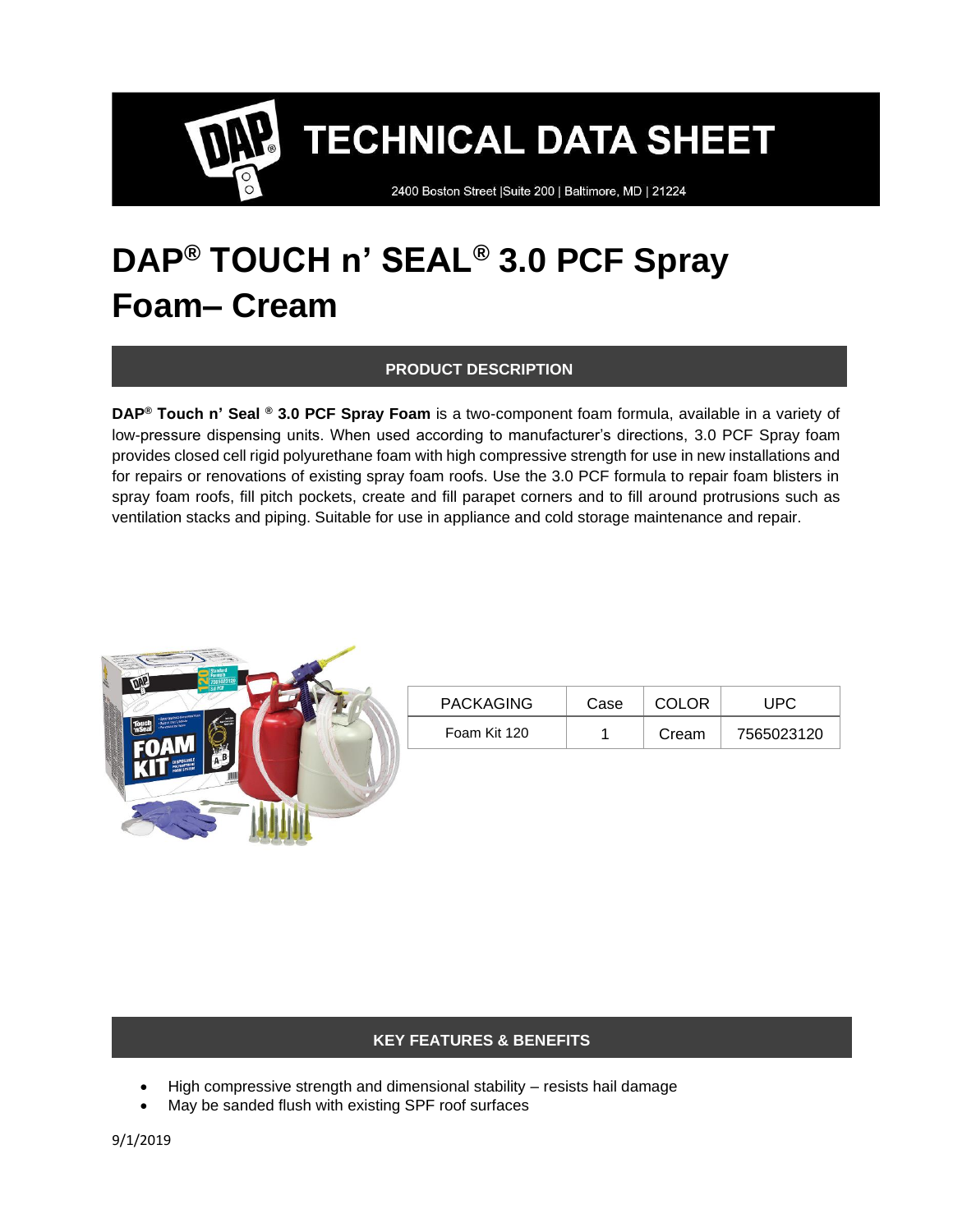2400 Boston Street | Suite 200 | Baltimore, MD | 21224

### **DAP® TOUCH n' SEAL® 3.0 PCF Spray Foam– Cream**

#### **PRODUCT DESCRIPTION**

**DAP® Touch n' Seal ® 3.0 PCF Spray Foam** is a two-component foam formula, available in a variety of low-pressure dispensing units. When used according to manufacturer's directions, 3.0 PCF Spray foam provides closed cell rigid polyurethane foam with high compressive strength for use in new installations and for repairs or renovations of existing spray foam roofs. Use the 3.0 PCF formula to repair foam blisters in spray foam roofs, fill pitch pockets, create and fill parapet corners and to fill around protrusions such as ventilation stacks and piping. Suitable for use in appliance and cold storage maintenance and repair.



| <b>PACKAGING</b> | Case | <b>COLOR</b> | UPC        |
|------------------|------|--------------|------------|
| Foam Kit 120     |      | Cream        | 7565023120 |

#### **KEY FEATURES & BENEFITS**

- High compressive strength and dimensional stability resists hail damage
- May be sanded flush with existing SPF roof surfaces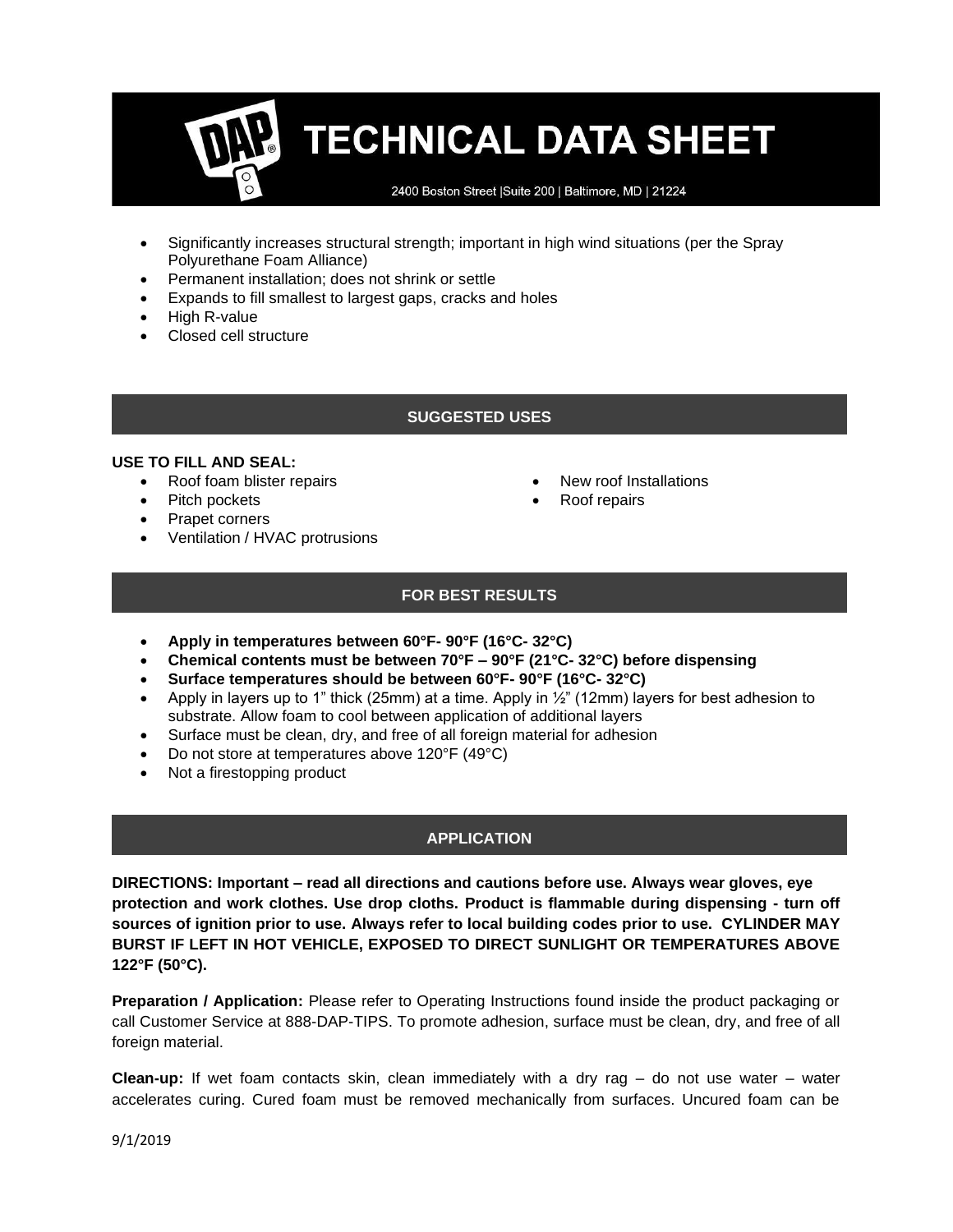2400 Boston Street | Suite 200 | Baltimore, MD | 21224

- Significantly increases structural strength; important in high wind situations (per the Spray Polyurethane Foam Alliance)
- Permanent installation; does not shrink or settle
- Expands to fill smallest to largest gaps, cracks and holes
- High R-value
- Closed cell structure

#### **SUGGESTED USES**

#### **USE TO FILL AND SEAL:**

- Roof foam blister repairs
- Pitch pockets
- Prapet corners
- Ventilation / HVAC protrusions
- New roof Installations
- Roof repairs

#### **FOR BEST RESULTS**

- **Apply in temperatures between 60°F- 90°F (16°C- 32°C)**
- **Chemical contents must be between 70°F – 90°F (21°C- 32°C) before dispensing**
- **Surface temperatures should be between 60°F- 90°F (16°C- 32°C)**
- Apply in layers up to 1" thick (25mm) at a time. Apply in  $\frac{1}{2}$ " (12mm) layers for best adhesion to substrate. Allow foam to cool between application of additional layers
- Surface must be clean, dry, and free of all foreign material for adhesion
- Do not store at temperatures above 120°F (49°C)
- Not a firestopping product

#### **APPLICATION**

**DIRECTIONS: Important – read all directions and cautions before use. Always wear gloves, eye protection and work clothes. Use drop cloths. Product is flammable during dispensing - turn off sources of ignition prior to use. Always refer to local building codes prior to use. CYLINDER MAY BURST IF LEFT IN HOT VEHICLE, EXPOSED TO DIRECT SUNLIGHT OR TEMPERATURES ABOVE 122°F (50°C).**

**Preparation / Application:** Please refer to Operating Instructions found inside the product packaging or call Customer Service at 888-DAP-TIPS. To promote adhesion, surface must be clean, dry, and free of all foreign material.

**Clean-up:** If wet foam contacts skin, clean immediately with a dry rag – do not use water – water accelerates curing. Cured foam must be removed mechanically from surfaces. Uncured foam can be

9/1/2019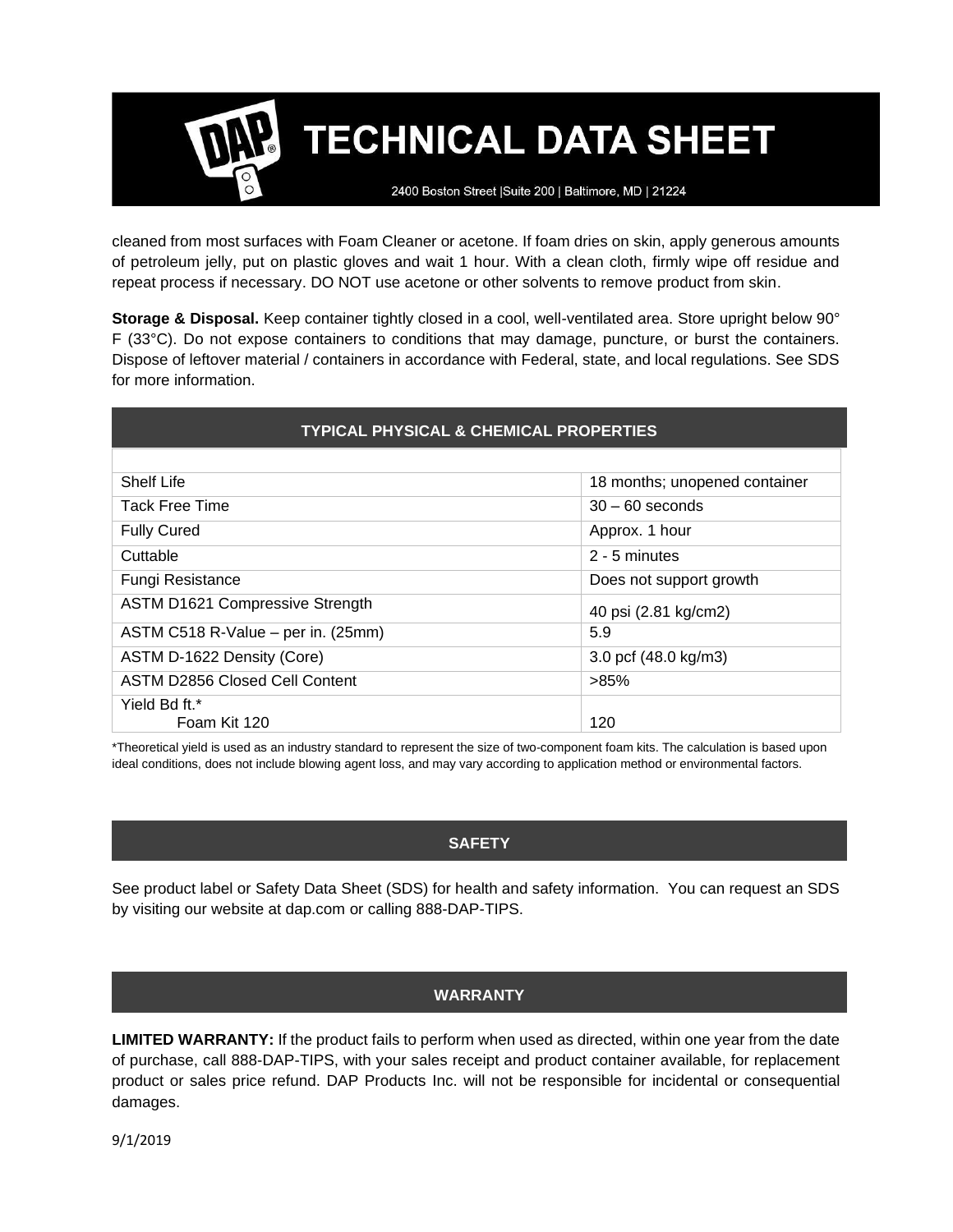2400 Boston Street | Suite 200 | Baltimore, MD | 21224

cleaned from most surfaces with Foam Cleaner or acetone. If foam dries on skin, apply generous amounts of petroleum jelly, put on plastic gloves and wait 1 hour. With a clean cloth, firmly wipe off residue and repeat process if necessary. DO NOT use acetone or other solvents to remove product from skin.

**Storage & Disposal.** Keep container tightly closed in a cool, well-ventilated area. Store upright below 90° F (33°C). Do not expose containers to conditions that may damage, puncture, or burst the containers. Dispose of leftover material / containers in accordance with Federal, state, and local regulations. See SDS for more information.

| <b>TYPICAL PHYSICAL &amp; CHEMICAL PROPERTIES</b> |                               |  |  |
|---------------------------------------------------|-------------------------------|--|--|
|                                                   |                               |  |  |
| Shelf Life                                        | 18 months; unopened container |  |  |
| <b>Tack Free Time</b>                             | $30 - 60$ seconds             |  |  |
| <b>Fully Cured</b>                                | Approx. 1 hour                |  |  |
| Cuttable                                          | 2 - 5 minutes                 |  |  |
| <b>Fungi Resistance</b>                           | Does not support growth       |  |  |
| <b>ASTM D1621 Compressive Strength</b>            | 40 psi (2.81 kg/cm2)          |  |  |
| ASTM C518 R-Value - per in. (25mm)                | 5.9                           |  |  |
| ASTM D-1622 Density (Core)                        | 3.0 pcf (48.0 kg/m3)          |  |  |
| ASTM D2856 Closed Cell Content                    | >85%                          |  |  |
| Yield Bd ft.*<br>Foam Kit 120                     | 120                           |  |  |

\*Theoretical yield is used as an industry standard to represent the size of two-component foam kits. The calculation is based upon ideal conditions, does not include blowing agent loss, and may vary according to application method or environmental factors.

#### **SAFETY**

See product label or Safety Data Sheet (SDS) for health and safety information. You can request an SDS by visiting our website at dap.com or calling 888-DAP-TIPS.

### **WARRANTY**

**LIMITED WARRANTY:** If the product fails to perform when used as directed, within one year from the date of purchase, call 888-DAP-TIPS, with your sales receipt and product container available, for replacement product or sales price refund. DAP Products Inc. will not be responsible for incidental or consequential damages.

9/1/2019